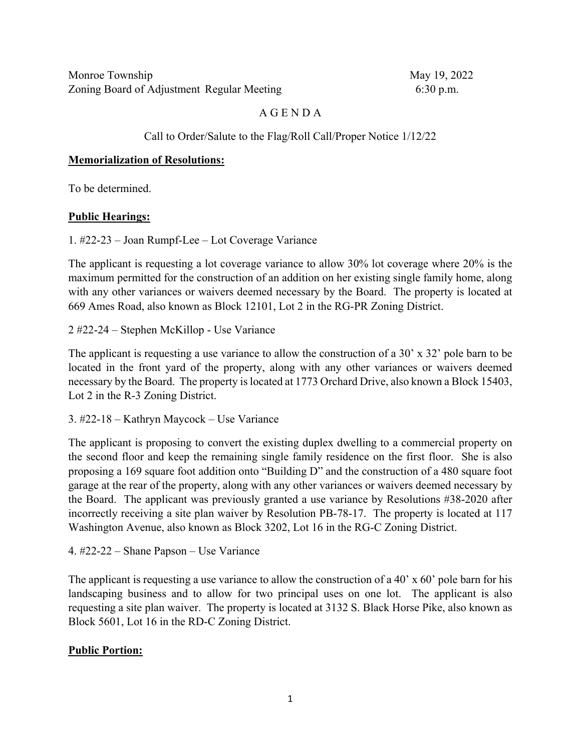# A G E N D A

### Call to Order/Salute to the Flag/Roll Call/Proper Notice 1/12/22

#### **Memorialization of Resolutions:**

To be determined.

#### **Public Hearings:**

1. #22-23 – Joan Rumpf-Lee – Lot Coverage Variance

The applicant is requesting a lot coverage variance to allow 30% lot coverage where 20% is the maximum permitted for the construction of an addition on her existing single family home, along with any other variances or waivers deemed necessary by the Board. The property is located at 669 Ames Road, also known as Block 12101, Lot 2 in the RG-PR Zoning District.

2 #22-24 – Stephen McKillop - Use Variance

The applicant is requesting a use variance to allow the construction of a 30' x 32' pole barn to be located in the front yard of the property, along with any other variances or waivers deemed necessary by the Board. The property is located at 1773 Orchard Drive, also known a Block 15403, Lot 2 in the R-3 Zoning District.

3. #22-18 – Kathryn Maycock – Use Variance

The applicant is proposing to convert the existing duplex dwelling to a commercial property on the second floor and keep the remaining single family residence on the first floor. She is also proposing a 169 square foot addition onto "Building D" and the construction of a 480 square foot garage at the rear of the property, along with any other variances or waivers deemed necessary by the Board. The applicant was previously granted a use variance by Resolutions #38-2020 after incorrectly receiving a site plan waiver by Resolution PB-78-17. The property is located at 117 Washington Avenue, also known as Block 3202, Lot 16 in the RG-C Zoning District.

4. #22-22 – Shane Papson – Use Variance

The applicant is requesting a use variance to allow the construction of a 40' x 60' pole barn for his landscaping business and to allow for two principal uses on one lot. The applicant is also requesting a site plan waiver. The property is located at 3132 S. Black Horse Pike, also known as Block 5601, Lot 16 in the RD-C Zoning District.

## **Public Portion:**